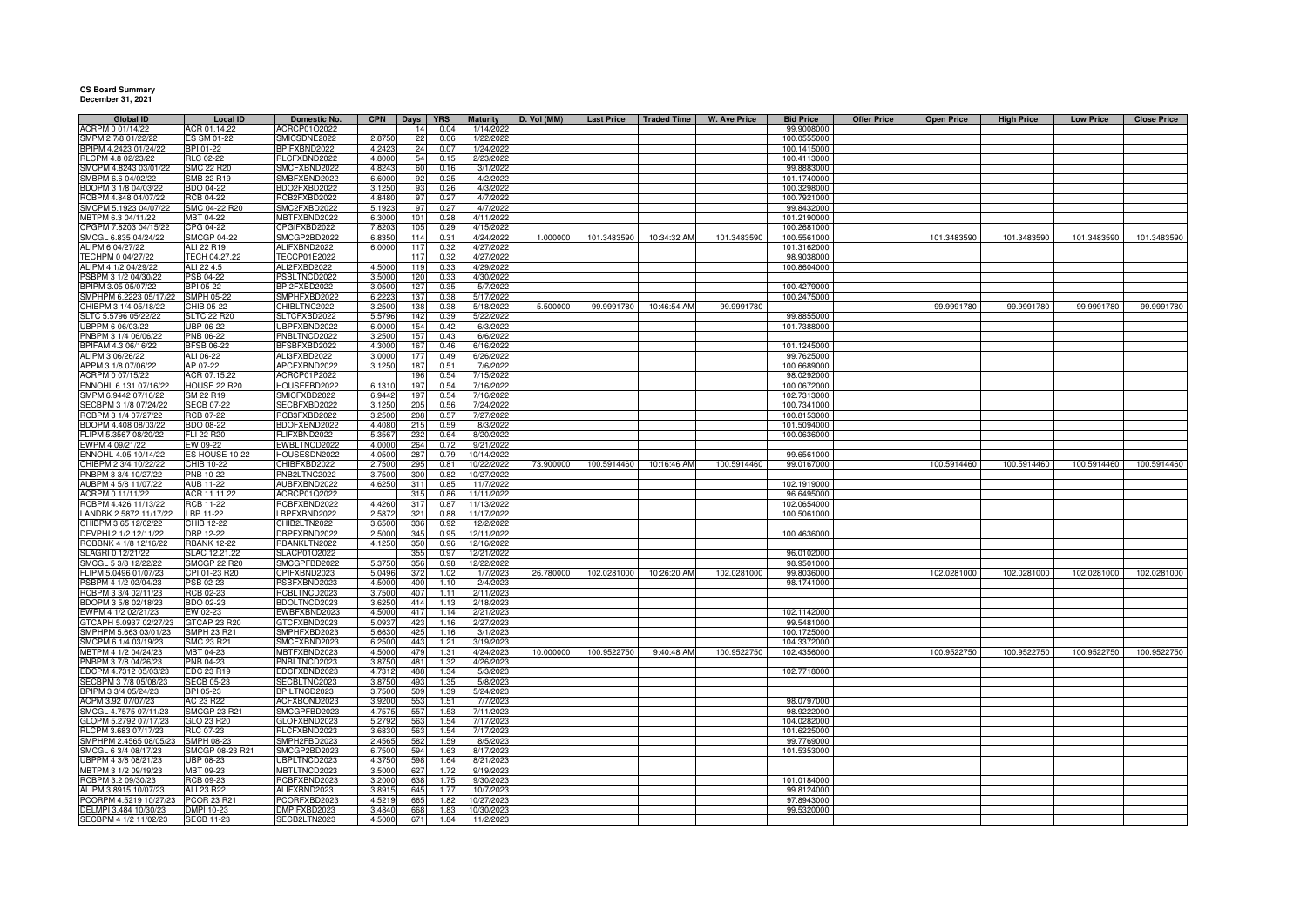## **CS Board Summary December 31, 2021**

| <b>Global ID</b>       | <b>Local ID</b>     | Domestic No. | <b>CPN</b> | Days | YRS  | <b>Maturity</b> | D. Vol (MM) |             | Last Price   Traded Time | W. Ave Price | <b>Bid Price</b> | <b>Offer Price</b> | <b>Open Price</b> | <b>High Price</b> | <b>Low Price</b> | <b>Close Price</b> |
|------------------------|---------------------|--------------|------------|------|------|-----------------|-------------|-------------|--------------------------|--------------|------------------|--------------------|-------------------|-------------------|------------------|--------------------|
| ACRPM 0 01/14/22       | ACR 01.14.22        | ACRCP01O2022 |            | 14   | 0.04 | 1/14/2022       |             |             |                          |              | 99.9008000       |                    |                   |                   |                  |                    |
| SMPM 2 7/8 01/22/22    | ES SM 01-22         | SMICSDNE2022 | 2.8750     | 22   | 0.06 | 1/22/2022       |             |             |                          |              | 100.0555000      |                    |                   |                   |                  |                    |
| BPIPM 4.2423 01/24/22  | BPI 01-22           | BPIFXBND2022 | 4.2423     | 24   | 0.07 | 1/24/2022       |             |             |                          |              | 100.1415000      |                    |                   |                   |                  |                    |
| RLCPM 4.8 02/23/22     |                     | RLCFXBND2022 | 4.8000     | 54   |      |                 |             |             |                          |              |                  |                    |                   |                   |                  |                    |
|                        | RLC 02-22           |              |            |      | 0.15 | 2/23/2022       |             |             |                          |              | 100.4113000      |                    |                   |                   |                  |                    |
| SMCPM 4.8243 03/01/22  | <b>SMC 22 R20</b>   | SMCFXBND2022 | 4.8243     | 60   | 0.16 | 3/1/2022        |             |             |                          |              | 99.8883000       |                    |                   |                   |                  |                    |
| SMBPM 6.6 04/02/22     | SMB 22 R19          | SMBFXBND2022 | 6,600      | 92   | 0.25 | 4/2/2022        |             |             |                          |              | 101.1740000      |                    |                   |                   |                  |                    |
| BDOPM 3 1/8 04/03/22   | <b>BDO 04-22</b>    | BDO2FXBD2022 | 3.125      | 93   | 0.26 | 4/3/2022        |             |             |                          |              | 100.3298000      |                    |                   |                   |                  |                    |
| RCBPM 4.848 04/07/22   | <b>RCB 04-22</b>    | RCB2FXBD2022 | 4.848      | 97   | 0.27 | 4/7/2022        |             |             |                          |              | 100.7921000      |                    |                   |                   |                  |                    |
| SMCPM 5.1923 04/07/22  | SMC 04-22 R20       | SMC2FXBD2022 | 5.1923     | 97   | 0.27 | 4/7/2022        |             |             |                          |              | 99.8432000       |                    |                   |                   |                  |                    |
| MBTPM 6.3 04/11/22     | MBT 04-22           | MBTFXBND2022 | 6.300      | 101  | 0.28 | 4/11/2022       |             |             |                          |              | 101.2190000      |                    |                   |                   |                  |                    |
| CPGPM 7.8203 04/15/22  | CPG 04-22           | CPGIFXBD2022 | 7.8203     | 105  | 0.29 | 4/15/2022       |             |             |                          |              | 100.2681000      |                    |                   |                   |                  |                    |
| SMCGL 6.835 04/24/22   | <b>SMCGP 04-22</b>  | SMCGP2BD2022 | 6.835      | 114  | 0.31 | 4/24/2022       | 1.000000    | 101.3483590 | 10:34:32 AM              | 101.3483590  | 100.5561000      |                    | 101.3483590       | 101.3483590       | 101.3483590      | 101.3483590        |
| ALIPM 6 04/27/22       | ALI 22 R19          | ALIFXBND2022 | 6.000      | 117  | 0.32 | 4/27/2022       |             |             |                          |              | 101.3162000      |                    |                   |                   |                  |                    |
|                        |                     |              |            |      |      |                 |             |             |                          |              |                  |                    |                   |                   |                  |                    |
| TECHPM 0 04/27/22      | TECH 04.27.22       | TECCP01E2022 |            | 117  | 0.32 | 4/27/2022       |             |             |                          |              | 98.9038000       |                    |                   |                   |                  |                    |
| ALIPM 4 1/2 04/29/22   | ALI 22 4.5          | ALI2FXBD2022 | 4.500      | 119  | 0.33 | 4/29/2022       |             |             |                          |              | 100.8604000      |                    |                   |                   |                  |                    |
| PSBPM 3 1/2 04/30/22   | PSB 04-22           | PSBLTNCD2022 | 3.500      | 120  | 0.33 | 4/30/2022       |             |             |                          |              |                  |                    |                   |                   |                  |                    |
| BPIPM 3.05 05/07/22    | BPI 05-22           | BPI2FXBD2022 | 3.050      | 127  | 0.35 | 5/7/2022        |             |             |                          |              | 100.4279000      |                    |                   |                   |                  |                    |
| SMPHPM 6.2223 05/17/22 | <b>SMPH 05-22</b>   | SMPHFXBD2022 | 6.222      | 13   | 0.38 | 5/17/2022       |             |             |                          |              | 100.2475000      |                    |                   |                   |                  |                    |
| CHIBPM 3 1/4 05/18/22  | CHIB 05-22          | CHIBLTNC2022 | 3.250      | 138  | 0.38 | 5/18/2022       | 5.500000    | 99.9991780  | 10:46:54 AM              | 99.9991780   |                  |                    | 99.9991780        | 99.9991780        | 99.9991780       | 99.9991780         |
| SLTC 5.5796 05/22/22   | <b>SLTC 22 R20</b>  | SLTCFXBD2022 | 5.5796     | 142  | 0.39 | 5/22/2022       |             |             |                          |              | 99.8855000       |                    |                   |                   |                  |                    |
| UBPPM 6 06/03/22       | <b>UBP 06-22</b>    | UBPFXBND2022 | 6.0000     | 154  | 0.42 | 6/3/2022        |             |             |                          |              | 101.7388000      |                    |                   |                   |                  |                    |
| PNBPM 3 1/4 06/06/22   |                     |              |            |      |      | 6/6/2022        |             |             |                          |              |                  |                    |                   |                   |                  |                    |
|                        | PNB 06-22           | PNBLTNCD2022 | 3.2500     | 157  | 0.43 |                 |             |             |                          |              |                  |                    |                   |                   |                  |                    |
| BPIFAM 4.3 06/16/22    | <b>BFSB 06-22</b>   | BFSBFXBD2022 | 4.3000     | 167  | 0.46 | 6/16/2022       |             |             |                          |              | 101.1245000      |                    |                   |                   |                  |                    |
| ALIPM 3 06/26/22       | ALI 06-22           | ALI3FXBD2022 | 3.0000     | 177  | 0.49 | 6/26/2022       |             |             |                          |              | 99.7625000       |                    |                   |                   |                  |                    |
| APPM 3 1/8 07/06/22    | AP 07-22            | APCFXBND2022 | 3.1250     | 187  | 0.51 | 7/6/2022        |             |             |                          |              | 100.6689000      |                    |                   |                   |                  |                    |
| ACRPM 0 07/15/22       | ACR 07.15.22        | ACRCP01P2022 |            | 196  | 0.54 | 7/15/2022       |             |             |                          |              | 98.0292000       |                    |                   |                   |                  |                    |
| ENNOHL 6.131 07/16/22  | <b>HOUSE 22 R20</b> | HOUSEFBD2022 | 6.1310     | 197  | 0.54 | 7/16/2022       |             |             |                          |              | 100.0672000      |                    |                   |                   |                  |                    |
| SMPM 6.9442 07/16/22   | SM 22 R19           | SMICFXBD2022 | 6.9442     | 197  | 0.54 | 7/16/2022       |             |             |                          |              | 102.7313000      |                    |                   |                   |                  |                    |
| SECBPM 3 1/8 07/24/22  | <b>SECB 07-22</b>   | SECBFXBD2022 | 3.125      | 205  | 0.56 | 7/24/2022       |             |             |                          |              | 100.7341000      |                    |                   |                   |                  |                    |
| RCBPM 3 1/4 07/27/22   | RCB 07-22           | RCB3FXBD2022 | 3.250      | 208  | 0.57 | 7/27/2022       |             |             |                          |              | 100.8153000      |                    |                   |                   |                  |                    |
|                        |                     |              |            |      |      |                 |             |             |                          |              |                  |                    |                   |                   |                  |                    |
| BDOPM 4.408 08/03/22   | <b>BDO 08-22</b>    | BDOFXBND2022 | 4.408      | 215  | 0.59 | 8/3/2022        |             |             |                          |              | 101.5094000      |                    |                   |                   |                  |                    |
| FLIPM 5.3567 08/20/22  | FLI 22 R20          | FLIFXBND2022 | 5.356      | 232  | 0.64 | 8/20/2022       |             |             |                          |              | 100.0636000      |                    |                   |                   |                  |                    |
| EWPM 4 09/21/22        | EW 09-22            | EWBLTNCD2022 | 4.000      | 264  | 0.72 | 9/21/2022       |             |             |                          |              |                  |                    |                   |                   |                  |                    |
| ENNOHL 4.05 10/14/22   | S HOUSE 10-22       | HOUSESDN2022 | 4.050      | 287  | 0.79 | 10/14/2022      |             |             |                          |              | 99.6561000       |                    |                   |                   |                  |                    |
| CHIBPM 2 3/4 10/22/22  | CHIB 10-22          | CHIBFXBD2022 | 2.750      | 295  | 0.81 | 10/22/2022      | 73.900000   | 100.5914460 | 10:16:46 AM              | 100.5914460  | 99.0167000       |                    | 100.5914460       | 100.5914460       | 100.5914460      | 100.5914460        |
| PNBPM 3 3/4 10/27/22   | PNB 10-22           | PNB2LTNC2022 | 3.750      | 300  | 0.82 | 10/27/2022      |             |             |                          |              |                  |                    |                   |                   |                  |                    |
| AUBPM 4 5/8 11/07/22   | AUB 11-22           | AUBFXBND2022 | 4.625      | 311  | 0.85 | 11/7/2022       |             |             |                          |              | 102.1919000      |                    |                   |                   |                  |                    |
| ACRPM 0 11/11/22       | ACR 11.11.22        | ACRCP01Q2022 |            | 315  | 0.86 | 11/11/2022      |             |             |                          |              | 96.6495000       |                    |                   |                   |                  |                    |
| RCBPM 4.426 11/13/22   | RCB 11-22           | RCBFXBND2022 | 4.426      | 317  | 0.87 | 11/13/2022      |             |             |                          |              | 102.0654000      |                    |                   |                   |                  |                    |
|                        |                     |              |            |      |      |                 |             |             |                          |              |                  |                    |                   |                   |                  |                    |
| LANDBK 2.5872 11/17/22 | LBP 11-22           | LBPFXBND2022 | 2.587      | 321  | 0.88 | 11/17/2022      |             |             |                          |              | 100.5061000      |                    |                   |                   |                  |                    |
| CHIBPM 3.65 12/02/22   | CHIB 12-22          | CHIB2LTN2022 | 3.650      | 336  | 0.92 | 12/2/2022       |             |             |                          |              |                  |                    |                   |                   |                  |                    |
| DEVPHI 2 1/2 12/11/22  | <b>DBP 12-22</b>    | DBPFXBND2022 | 2.500      | 345  | 0.95 | 12/11/2022      |             |             |                          |              | 100.4636000      |                    |                   |                   |                  |                    |
| ROBBNK 4 1/8 12/16/22  | <b>RBANK 12-22</b>  | RBANKLTN2022 | 4.125      | 350  | 0.96 | 12/16/2022      |             |             |                          |              |                  |                    |                   |                   |                  |                    |
| SLAGRI 0 12/21/22      | SLAC 12.21.22       | SLACP01O2022 |            | 355  | 0.97 | 12/21/2022      |             |             |                          |              | 96.0102000       |                    |                   |                   |                  |                    |
| SMCGL 5 3/8 12/22/22   | <b>SMCGP 22 R20</b> | SMCGPFBD2022 | 5.375      | 356  | 0.98 | 12/22/2022      |             |             |                          |              | 98.9501000       |                    |                   |                   |                  |                    |
| FLIPM 5.0496 01/07/23  | CPI 01-23 R20       | CPIFXBND2023 | 5.0496     | 372  | 1.02 | 1/7/2023        | 26.780000   |             | 102.0281000 10:26:20 AM  | 102.0281000  | 99.8036000       |                    | 102.0281000       | 102.0281000       | 102.0281000      | 102.0281000        |
| PSBPM 4 1/2 02/04/23   | PSB 02-23           | SBFXBND2023  | 4.5000     | 400  | 1.10 | 2/4/2023        |             |             |                          |              | 98.1741000       |                    |                   |                   |                  |                    |
| RCBPM 3 3/4 02/11/23   | RCB 02-23           | RCBLTNCD2023 | 3.7500     | 407  | 1.11 | 2/11/2023       |             |             |                          |              |                  |                    |                   |                   |                  |                    |
| BDOPM 3 5/8 02/18/23   | BDO 02-23           | BDOLTNCD2023 | 3.625      | 414  | 111  | 2/18/2023       |             |             |                          |              |                  |                    |                   |                   |                  |                    |
| EWPM 4 1/2 02/21/23    |                     |              |            | 417  | 1.14 |                 |             |             |                          |              | 102.1142000      |                    |                   |                   |                  |                    |
|                        | EW 02-23            | EWBFXBND2023 | 4.5000     |      |      | 2/21/2023       |             |             |                          |              |                  |                    |                   |                   |                  |                    |
| GTCAPH 5.0937 02/27/23 | GTCAP 23 R20        | GTCFXBND2023 | 5.093      | 423  | 1.16 | 2/27/2023       |             |             |                          |              | 99.5481000       |                    |                   |                   |                  |                    |
| SMPHPM 5.663 03/01/23  | SMPH 23 R21         | SMPHFXBD2023 | 5.663      | 425  | 116  | 3/1/2023        |             |             |                          |              | 100.1725000      |                    |                   |                   |                  |                    |
| SMCPM 6 1/4 03/19/23   | SMC 23 R21          | SMCFXBND2023 | 6.250      | 443  | 1.21 | 3/19/2023       |             |             |                          |              | 104.3372000      |                    |                   |                   |                  |                    |
| MBTPM 4 1/2 04/24/23   | MBT 04-23           | MBTFXBND2023 | 4.500      | 479  | 1.31 | 4/24/2023       | 10.000000   | 100.9522750 | 9:40:48 AM               | 100.9522750  | 102.4356000      |                    | 100.9522750       | 100.9522750       | 100.9522750      | 100.9522750        |
| PNBPM 3 7/8 04/26/23   | PNB 04-23           | PNBLTNCD2023 | 3.875      | 481  | 1.32 | 4/26/2023       |             |             |                          |              |                  |                    |                   |                   |                  |                    |
| EDCPM 4.7312 05/03/23  | EDC 23 R19          | EDCFXBND2023 | 4.7312     | 488  | 1.34 | 5/3/2023        |             |             |                          |              | 102.7718000      |                    |                   |                   |                  |                    |
| SECBPM 3 7/8 05/08/23  | <b>SECB 05-23</b>   | SECBLTNC2023 | 3.875      | 493  | 1.35 | 5/8/2023        |             |             |                          |              |                  |                    |                   |                   |                  |                    |
| BPIPM 3 3/4 05/24/23   | BPI 05-23           | BPILTNCD2023 | 3.7500     | 509  | 1.39 | 5/24/2023       |             |             |                          |              |                  |                    |                   |                   |                  |                    |
| ACPM 3.92 07/07/23     | AC 23 R22           | ACFXBOND2023 | 3.920      | 553  | 1.51 | 7/7/2023        |             |             |                          |              | 98.0797000       |                    |                   |                   |                  |                    |
| SMCGL 4.7575 07/11/23  | <b>SMCGP 23 R21</b> | SMCGPFBD2023 | 4.757      | 557  | 1.53 | 7/11/2023       |             |             |                          |              | 98.9222000       |                    |                   |                   |                  |                    |
|                        |                     |              |            | 563  |      |                 |             |             |                          |              |                  |                    |                   |                   |                  |                    |
| GLOPM 5.2792 07/17/23  | GLO 23 R20          | GLOFXBND2023 | 5.2792     |      | 1.54 | 7/17/2023       |             |             |                          |              | 104.0282000      |                    |                   |                   |                  |                    |
| RLCPM 3.683 07/17/23   | RLC 07-23           | RLCFXBND2023 | 3.683      | 563  | 1.54 | 7/17/2023       |             |             |                          |              | 101.6225000      |                    |                   |                   |                  |                    |
| SMPHPM 2.4565 08/05/23 | SMPH 08-23          | SMPH2FBD2023 | 2.456      | 582  | 1.59 | 8/5/2023        |             |             |                          |              | 99.7769000       |                    |                   |                   |                  |                    |
| SMCGL 6 3/4 08/17/23   | SMCGP 08-23 R21     | SMCGP2BD2023 | 6.750      | 594  | 1.63 | 8/17/2023       |             |             |                          |              | 101.5353000      |                    |                   |                   |                  |                    |
| UBPPM 4 3/8 08/21/23   | JBP 08-23           | UBPLTNCD2023 | 4.375      | 598  | 1.64 | 8/21/2023       |             |             |                          |              |                  |                    |                   |                   |                  |                    |
| MBTPM 3 1/2 09/19/23   | MBT 09-23           | MBTLTNCD2023 | 3.500      | 627  | 1.72 | 9/19/2023       |             |             |                          |              |                  |                    |                   |                   |                  |                    |
| RCBPM 3.2 09/30/23     | <b>RCB 09-23</b>    | RCBFXBND2023 | 3.2000     | 638  | 1.75 | 9/30/2023       |             |             |                          |              | 101.0184000      |                    |                   |                   |                  |                    |
| ALIPM 3.8915 10/07/23  | ALI 23 R22          | ALIFXBND2023 | 3.891      | 645  | 1.77 | 10/7/2023       |             |             |                          |              | 99.8124000       |                    |                   |                   |                  |                    |
| PCORPM 4.5219 10/27/23 | <b>PCOR 23 R21</b>  | PCORFXBD2023 | 4.5219     | 665  | 1.82 | 10/27/202       |             |             |                          |              | 97.8943000       |                    |                   |                   |                  |                    |
| DELMPI 3.484 10/30/23  | DMPI 10-23          | DMPIFXBD2023 | 3.4840     | 668  | 1.83 | 10/30/2023      |             |             |                          |              | 99.5320000       |                    |                   |                   |                  |                    |
|                        |                     |              |            |      |      |                 |             |             |                          |              |                  |                    |                   |                   |                  |                    |
| SECBPM 4 1/2 11/02/23  | <b>SECB 11-23</b>   | SECB2LTN2023 | 4.5000     | 671  | 1.84 | 11/2/2023       |             |             |                          |              |                  |                    |                   |                   |                  |                    |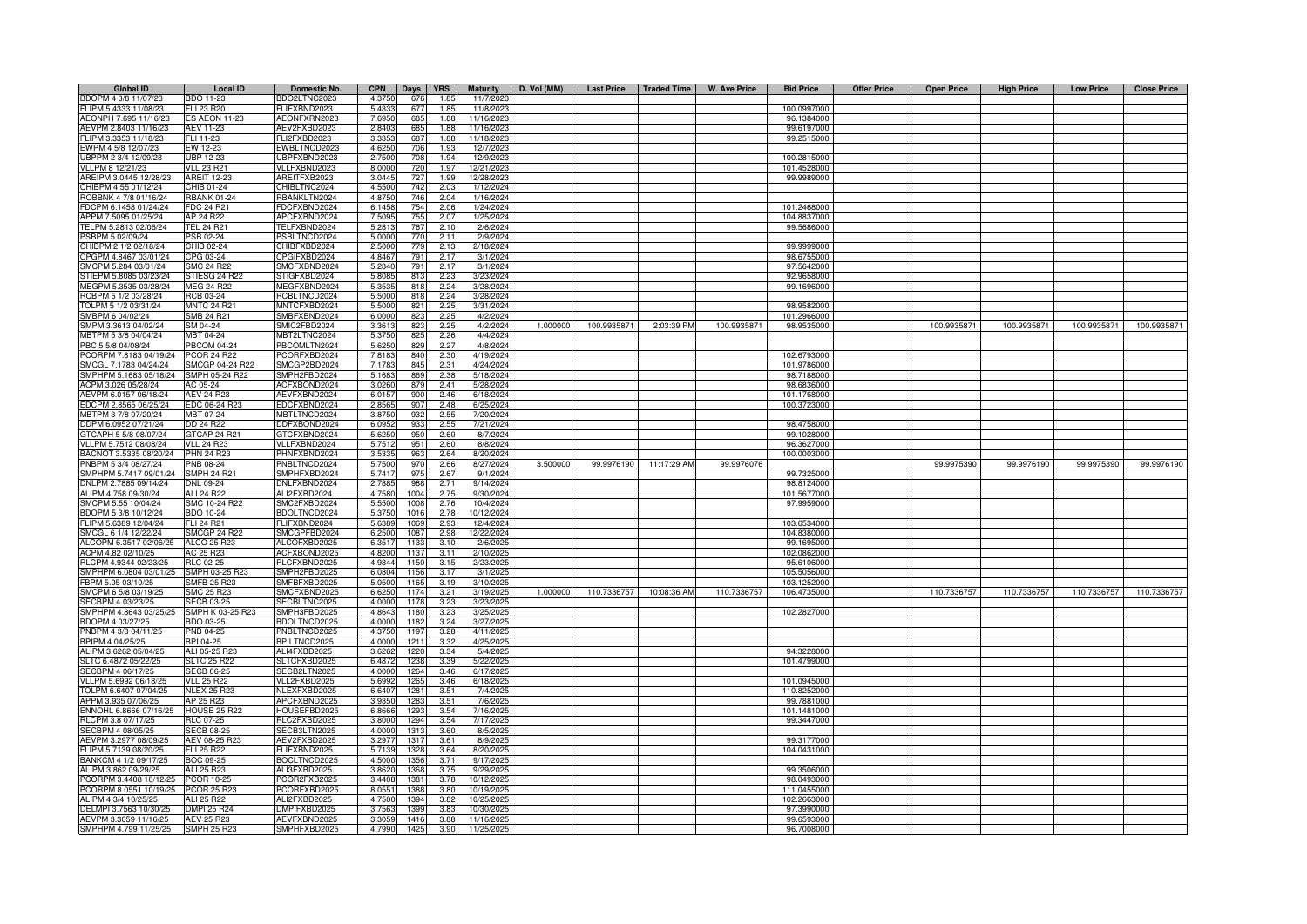| <b>Global ID</b>       | <b>Local ID</b>      | Domestic No.        | <b>CPN</b> | Days       | <b>YRS</b> | <b>Maturity</b> | D. Vol (MM) | <b>Last Price</b> | <b>Traded Time</b> | <b>W. Ave Price</b> | <b>Bid Price</b> | <b>Offer Price</b> | <b>Open Price</b> | <b>High Price</b> | <b>Low Price</b> | <b>Close Price</b> |
|------------------------|----------------------|---------------------|------------|------------|------------|-----------------|-------------|-------------------|--------------------|---------------------|------------------|--------------------|-------------------|-------------------|------------------|--------------------|
| BDOPM 4 3/8 11/07/23   | BDO 11-23            | BDO2LTNC2023        | 4.3750     | 676        | 1.85       | 11/7/2023       |             |                   |                    |                     |                  |                    |                   |                   |                  |                    |
| FLIPM 5.4333 11/08/23  | FLI 23 R20           | FLIFXBND2023        | 5.4333     | 677        | 1.85       | 11/8/2023       |             |                   |                    |                     | 100.0997000      |                    |                   |                   |                  |                    |
| AEONPH 7.695 11/16/23  | <b>ES AEON 11-23</b> | AEONFXRN2023        | 7.6950     | 685        | 1.88       | 11/16/2023      |             |                   |                    |                     | 96.1384000       |                    |                   |                   |                  |                    |
| AEVPM 2.8403 11/16/23  | AEV 11-23            | AEV2FXBD2023        | 2.8403     | 685        | 1.88       | 11/16/2023      |             |                   |                    |                     | 99.6197000       |                    |                   |                   |                  |                    |
| FLIPM 3.3353 11/18/23  | FLI 11-23            | FLI2FXBD2023        | 3.335      | 687        | 1.88       | 11/18/2023      |             |                   |                    |                     | 99.2515000       |                    |                   |                   |                  |                    |
| EWPM 4 5/8 12/07/23    | EW 12-23             | EWBLTNCD2023        | 4.625      | 706        | 1.93       | 12/7/202        |             |                   |                    |                     |                  |                    |                   |                   |                  |                    |
| UBPPM 2 3/4 12/09/23   | <b>UBP 12-23</b>     | JBPFXBND2023        | 2.7500     | 708        | 1.94       | 12/9/202        |             |                   |                    |                     | 100.2815000      |                    |                   |                   |                  |                    |
| VLLPM 8 12/21/23       | <b>VLL 23 R21</b>    | /LLFXBND2023        | 8.0000     | 720        | 1.97       | 12/21/202       |             |                   |                    |                     | 101.4528000      |                    |                   |                   |                  |                    |
| AREIPM 3.0445 12/28/23 | <b>AREIT 12-23</b>   | AREITFXB2023        | 3.0445     | 727        | 1.99       | 12/28/2023      |             |                   |                    |                     | 99.9989000       |                    |                   |                   |                  |                    |
| CHIBPM 4.55 01/12/24   | CHIB 01-24           | CHIBLTNC2024        | 4.5500     |            | 2.03       | 1/12/2024       |             |                   |                    |                     |                  |                    |                   |                   |                  |                    |
|                        | <b>RBANK 01-24</b>   | RBANKLTN2024        | 4.8750     | 742<br>746 |            |                 |             |                   |                    |                     |                  |                    |                   |                   |                  |                    |
| ROBBNK 4 7/8 01/16/24  |                      |                     |            |            | 2.04       | 1/16/2024       |             |                   |                    |                     |                  |                    |                   |                   |                  |                    |
| FDCPM 6.1458 01/24/24  | <b>FDC 24 R21</b>    | FDCFXBND2024        | 6.1458     | 754        | 2.06       | 1/24/2024       |             |                   |                    |                     | 101.2468000      |                    |                   |                   |                  |                    |
| APPM 7.5095 01/25/24   | AP 24 R22            | APCFXBND2024        | 7.509      | 755        | 2.07       | 1/25/2024       |             |                   |                    |                     | 104.8837000      |                    |                   |                   |                  |                    |
| TELPM 5.2813 02/06/24  | TEL 24 R21           | <b>FELFXBND2024</b> | 5.281      | 767        | 2.10       | 2/6/2024        |             |                   |                    |                     | 99.5686000       |                    |                   |                   |                  |                    |
| PSBPM 5 02/09/24       | PSB 02-24            | PSBLTNCD2024        | 5.0000     | 770        | 2.11       | 2/9/2024        |             |                   |                    |                     |                  |                    |                   |                   |                  |                    |
| CHIBPM 2 1/2 02/18/24  | CHIB 02-24           | CHIBFXBD2024        | 2.5000     | 779        | 2.13       | 2/18/2024       |             |                   |                    |                     | 99.9999000       |                    |                   |                   |                  |                    |
| CPGPM 4.8467 03/01/24  | CPG 03-24            | CPGIFXBD2024        | 4.8467     | 791        | 2.17       | 3/1/2024        |             |                   |                    |                     | 98.6755000       |                    |                   |                   |                  |                    |
| SMCPM 5.284 03/01/24   | <b>SMC 24 R22</b>    | SMCFXBND2024        | 5.284      | 791        | 2.17       | 3/1/2024        |             |                   |                    |                     | 97.5642000       |                    |                   |                   |                  |                    |
| STIEPM 5.8085 03/23/24 | STIESG 24 R22        | STIGFXBD2024        | 5.808      | 813        | 2.23       | 3/23/2024       |             |                   |                    |                     | 92.9658000       |                    |                   |                   |                  |                    |
| MEGPM 5.3535 03/28/24  | <b>MEG 24 R22</b>    | MEGFXBND2024        | 5.353      | 818        | 2.24       | 3/28/2024       |             |                   |                    |                     | 99.1696000       |                    |                   |                   |                  |                    |
| RCBPM 5 1/2 03/28/24   | RCB 03-24            | RCBLTNCD2024        | 5.500      | 818        | 2.24       | 3/28/2024       |             |                   |                    |                     |                  |                    |                   |                   |                  |                    |
| TOLPM 5 1/2 03/31/24   | <b>MNTC 24 R21</b>   | MNTCFXBD2024        | 5.500      | 821        | 2.25       | 3/31/2024       |             |                   |                    |                     | 98.9582000       |                    |                   |                   |                  |                    |
| SMBPM 6 04/02/24       | <b>SMB 24 R21</b>    | SMBFXBND2024        | 6.000      | 823        | 2.25       | 4/2/2024        |             |                   |                    |                     | 101.2966000      |                    |                   |                   |                  |                    |
| SMPM 3.3613 04/02/24   | SM 04-24             | SMIC2FBD2024        | 3.361      | 823        | 2.25       | 4/2/2024        | 1.000000    | 100.9935871       | 2:03:39 PM         | 100.9935871         | 98.9535000       |                    | 100.9935871       | 100.9935871       | 100.9935871      | 100.9935871        |
| MBTPM 5 3/8 04/04/24   | MBT 04-24            | MBT2LTNC2024        | 5.375      | 825        | 2.26       | 4/4/2024        |             |                   |                    |                     |                  |                    |                   |                   |                  |                    |
| PBC 5 5/8 04/08/24     | <b>PBCOM 04-24</b>   | PBCOMLTN2024        | 5.625      | 829        | 2.27       | 4/8/2024        |             |                   |                    |                     |                  |                    |                   |                   |                  |                    |
| PCORPM 7.8183 04/19/24 | <b>PCOR 24 R22</b>   | PCORFXBD2024        | 7.818      | 840        | 2.30       | 4/19/2024       |             |                   |                    |                     | 102.6793000      |                    |                   |                   |                  |                    |
| SMCGL 7.1783 04/24/24  | SMCGP 04-24 R22      | SMCGP2BD2024        | 7.178      | 845        | 2.31       | 4/24/2024       |             |                   |                    |                     | 101.9786000      |                    |                   |                   |                  |                    |
| SMPHPM 5.1683 05/18/24 | SMPH 05-24 R22       | SMPH2FBD2024        | 5.168      | 869        | 2.38       | 5/18/2024       |             |                   |                    |                     | 98.7188000       |                    |                   |                   |                  |                    |
| ACPM 3.026 05/28/24    | AC 05-24             | ACFXBOND2024        | 3.0260     | 879        | 2.41       | 5/28/2024       |             |                   |                    |                     | 98.6836000       |                    |                   |                   |                  |                    |
| AEVPM 6.0157 06/18/24  | AEV 24 R23           | AEVFXBND2024        | 6.0157     | 900        | 2.46       | 6/18/2024       |             |                   |                    |                     | 101.1768000      |                    |                   |                   |                  |                    |
| EDCPM 2.8565 06/25/24  | EDC 06-24 R23        | EDCFXBND2024        | 2.856      | 907        | 2.48       | 6/25/2024       |             |                   |                    |                     | 100.3723000      |                    |                   |                   |                  |                    |
| MBTPM 3 7/8 07/20/24   | MBT 07-24            | MBTLTNCD2024        | 3.875      | 932        | 2.55       | 7/20/2024       |             |                   |                    |                     |                  |                    |                   |                   |                  |                    |
| DDPM 6.0952 07/21/24   | <b>DD 24 R22</b>     | DDFXBOND2024        | 6.095      | 933        | 2.55       | 7/21/2024       |             |                   |                    |                     | 98.4758000       |                    |                   |                   |                  |                    |
| GTCAPH 5 5/8 08/07/24  | GTCAP 24 R21         | GTCFXBND2024        | 5.625      | 950        | 2.60       | 8/7/2024        |             |                   |                    |                     | 99.1028000       |                    |                   |                   |                  |                    |
| VLLPM 5.7512 08/08/24  | <b>VLL 24 R23</b>    | /LLFXBND2024        | 5.751      |            | 2.60       | 8/8/2024        |             |                   |                    |                     | 96.3627000       |                    |                   |                   |                  |                    |
|                        |                      |                     |            | 951        |            |                 |             |                   |                    |                     |                  |                    |                   |                   |                  |                    |
| BACNOT 3.5335 08/20/24 | <b>PHN 24 R23</b>    | PHNFXBND2024        | 3.533      | 963        | 2.64       | 8/20/2024       |             |                   |                    |                     | 100.0003000      |                    |                   |                   |                  |                    |
| PNBPM 5 3/4 08/27/24   | PNB 08-24            | PNBLTNCD2024        | 5.750      | 970        | 2.66       | 8/27/2024       | 3.500000    | 99.9976190        | 11:17:29 AM        | 99.9976076          |                  |                    | 99.9975390        | 99.9976190        | 99.9975390       | 99.9976190         |
| SMPHPM 5.7417 09/01/24 | <b>SMPH 24 R21</b>   | SMPHFXBD2024        | 5.741      | 975        | 2.67       | 9/1/2024        |             |                   |                    |                     | 99.7325000       |                    |                   |                   |                  |                    |
| DNLPM 2.7885 09/14/24  | DNL 09-24            | DNLFXBND2024        | 2.788      | 988        | 2.71       | 9/14/2024       |             |                   |                    |                     | 98.8124000       |                    |                   |                   |                  |                    |
| ALIPM 4.758 09/30/24   | ALI 24 R22           | ALI2FXBD2024        | 4.758      | 1004       | 2.75       | 9/30/2024       |             |                   |                    |                     | 101.5677000      |                    |                   |                   |                  |                    |
| SMCPM 5.55 10/04/24    | SMC 10-24 R22        | SMC2FXBD2024        | 5.550      | 1008       | 2.76       | 10/4/2024       |             |                   |                    |                     | 97.9959000       |                    |                   |                   |                  |                    |
| BDOPM 5 3/8 10/12/24   | BDO 10-24            | BDOLTNCD2024        | 5.375      | 1016       | 2.78       | 10/12/2024      |             |                   |                    |                     |                  |                    |                   |                   |                  |                    |
| FLIPM 5.6389 12/04/24  | FLI 24 R21           | FLIFXBND2024        | 5.638      | 1069       | 2.93       | 12/4/2024       |             |                   |                    |                     | 103.6534000      |                    |                   |                   |                  |                    |
| SMCGL 6 1/4 12/22/24   | <b>SMCGP 24 R22</b>  | SMCGPFBD2024        | 6.250      | 1087       | 2.98       | 12/22/2024      |             |                   |                    |                     | 104.8380000      |                    |                   |                   |                  |                    |
| ALCOPM 6.3517 02/06/2  | ALCO 25 R23          | ALCOFXBD2025        | 6.351      | 1133       | 3.10       | 2/6/2025        |             |                   |                    |                     | 99.1695000       |                    |                   |                   |                  |                    |
| ACPM 4.82 02/10/25     | AC 25 R23            | ACFXBOND2025        | 4.820      | 1137       | 3.11       | 2/10/202        |             |                   |                    |                     | 102.0862000      |                    |                   |                   |                  |                    |
| RLCPM 4.9344 02/23/25  | <b>RLC 02-25</b>     | RLCFXBND2025        | 4.934      | 115        | 3.15       | 2/23/202        |             |                   |                    |                     | 95.6106000       |                    |                   |                   |                  |                    |
| SMPHPM 6.0804 03/01/25 | SMPH 03-25 R23       | SMPH2FBD2025        | 6.080      | 1156       | 3.17       | 3/1/202         |             |                   |                    |                     | 105.5056000      |                    |                   |                   |                  |                    |
| FBPM 5.05 03/10/25     | <b>SMFB 25 R23</b>   | SMFBFXBD2025        | 5.050      | 116        | 3.19       | 3/10/202        |             |                   |                    |                     | 103.1252000      |                    |                   |                   |                  |                    |
| SMCPM 6 5/8 03/19/25   | <b>SMC 25 R23</b>    | SMCFXBND2025        | 6.625      | 1174       | 3.21       | 3/19/2025       | 1.00000     | 110.7336757       | 10:08:36 AM        | 110.7336757         | 106.4735000      |                    | 110.7336757       | 110.7336757       | 110.7336757      | 110.7336757        |
| SECBPM 4 03/23/25      | <b>SECB 03-25</b>    | SECBLTNC2025        | 4.000      | 1178       | 3.23       | 3/23/2025       |             |                   |                    |                     |                  |                    |                   |                   |                  |                    |
| SMPHPM 4.8643 03/25/25 | SMPH K 03-25 R23     | SMPH3FBD2025        | 4.864      | 1180       | 3.23       | 3/25/2025       |             |                   |                    |                     | 102.2827000      |                    |                   |                   |                  |                    |
| BDOPM 4 03/27/25       | BDO 03-25            | BDOLTNCD2025        | 4.0000     | 1182       | 3.24       | 3/27/2025       |             |                   |                    |                     |                  |                    |                   |                   |                  |                    |
| PNBPM 4 3/8 04/11/25   | PNB 04-25            | PNBLTNCD2025        | 4.3750     | 1197       | 3.28       | 4/11/2025       |             |                   |                    |                     |                  |                    |                   |                   |                  |                    |
| BPIPM 4 04/25/25       | BPI 04-25            | BPILTNCD2025        | 4.0000     | 1211       | 3.32       | 4/25/2025       |             |                   |                    |                     |                  |                    |                   |                   |                  |                    |
| ALIPM 3.6262 05/04/25  | ALI 05-25 R23        | ALI4FXBD2025        | 3.6262     | 1220       | 3.34       | 5/4/2025        |             |                   |                    |                     | 94.3228000       |                    |                   |                   |                  |                    |
| SLTC 6.4872 05/22/25   | <b>SLTC 25 R22</b>   | SLTCFXBD2025        | 6.487      | 1238       | 3.39       | 5/22/2025       |             |                   |                    |                     | 101.4799000      |                    |                   |                   |                  |                    |
| SECBPM 4 06/17/25      | <b>SECB 06-25</b>    | SECB2LTN2025        | 4.000      | 1264       | 3.46       | 6/17/2025       |             |                   |                    |                     |                  |                    |                   |                   |                  |                    |
| VLLPM 5.6992 06/18/25  | <b>VLL 25 R22</b>    | VLL2FXBD2025        | 5.699      | 1265       | 3.46       | 6/18/202        |             |                   |                    |                     | 101.0945000      |                    |                   |                   |                  |                    |
| TOLPM 6.6407 07/04/25  | <b>NLEX 25 R23</b>   | NLEXFXBD2025        | 6.640      | 1281       | 3.51       | 7/4/202         |             |                   |                    |                     | 110.8252000      |                    |                   |                   |                  |                    |
| APPM 3.935 07/06/25    | AP 25 R23            | APCFXBND2025        | 3.935      | 1283       | 3.51       | 7/6/202         |             |                   |                    |                     | 99.7881000       |                    |                   |                   |                  |                    |
| ENNOHL 6.8666 07/16/25 | <b>HOUSE 25 R22</b>  | HOUSEFBD2025        | 6.8666     | 1293       | 3.54       | 7/16/202        |             |                   |                    |                     | 101.1481000      |                    |                   |                   |                  |                    |
|                        |                      |                     |            |            |            |                 |             |                   |                    |                     |                  |                    |                   |                   |                  |                    |
| RLCPM 3.8 07/17/25     | <b>RLC 07-25</b>     | RLC2FXBD2025        | 3.8000     | 1294       | 3.54       | 7/17/2025       |             |                   |                    |                     | 99.3447000       |                    |                   |                   |                  |                    |
| SECBPM 4 08/05/25      | <b>SECB 08-25</b>    | SECB3LTN2025        | 4.0000     | 1313       | 3.60       | 8/5/202         |             |                   |                    |                     |                  |                    |                   |                   |                  |                    |
| AEVPM 3.2977 08/09/25  | AEV 08-25 R23        | AEV2FXBD2025        | 3.2977     | 1317       | 3.61       | 8/9/2025        |             |                   |                    |                     | 99.3177000       |                    |                   |                   |                  |                    |
| FLIPM 5.7139 08/20/25  | FLI 25 R22           | <b>ELIFXBND2025</b> | 5.7139     | 1328       | 3.64       | 8/20/202        |             |                   |                    |                     | 104.0431000      |                    |                   |                   |                  |                    |
| BANKCM 4 1/2 09/17/25  | BOC 09-25            | BOCLTNCD2025        | 4.500      | 1356       | 3.71       | 9/17/202        |             |                   |                    |                     |                  |                    |                   |                   |                  |                    |
| ALIPM 3.862 09/29/25   | ALI 25 R23           | ALI3FXBD2025        | 3.862      | 1368       | 3.75       | 9/29/202        |             |                   |                    |                     | 99.3506000       |                    |                   |                   |                  |                    |
| PCORPM 3.4408 10/12/25 | PCOR 10-25           | PCOR2FXB2025        | 3.440      | 1381       | 3.78       | 10/12/202       |             |                   |                    |                     | 98.0493000       |                    |                   |                   |                  |                    |
| PCORPM 8.0551 10/19/25 | <b>PCOR 25 R23</b>   | PCORFXBD2025        | 8.055      | 1388       | 3.80       | 10/19/202       |             |                   |                    |                     | 111.0455000      |                    |                   |                   |                  |                    |
| ALIPM 4 3/4 10/25/25   | ALI 25 R22           | ALI2FXBD2025        | 4.7500     | 1394       | 3.82       | 10/25/2025      |             |                   |                    |                     | 102.2663000      |                    |                   |                   |                  |                    |
| DELMPI 3.7563 10/30/25 | <b>DMPI 25 R24</b>   | DMPIFXBD2025        | 3.756      | 1399       | 3.83       | 10/30/202       |             |                   |                    |                     | 97.3990000       |                    |                   |                   |                  |                    |
| AEVPM 3.3059 11/16/25  | AEV 25 R23           | AEVFXBND2025        | 3.3059     | 1416       | 3.88       | 11/16/2025      |             |                   |                    |                     | 99.6593000       |                    |                   |                   |                  |                    |
| SMPHPM 4.799 11/25/25  | <b>SMPH 25 R23</b>   | SMPHFXBD2025        | 4.7990     | 1425       | 3.90       | 11/25/2025      |             |                   |                    |                     | 96.7008000       |                    |                   |                   |                  |                    |